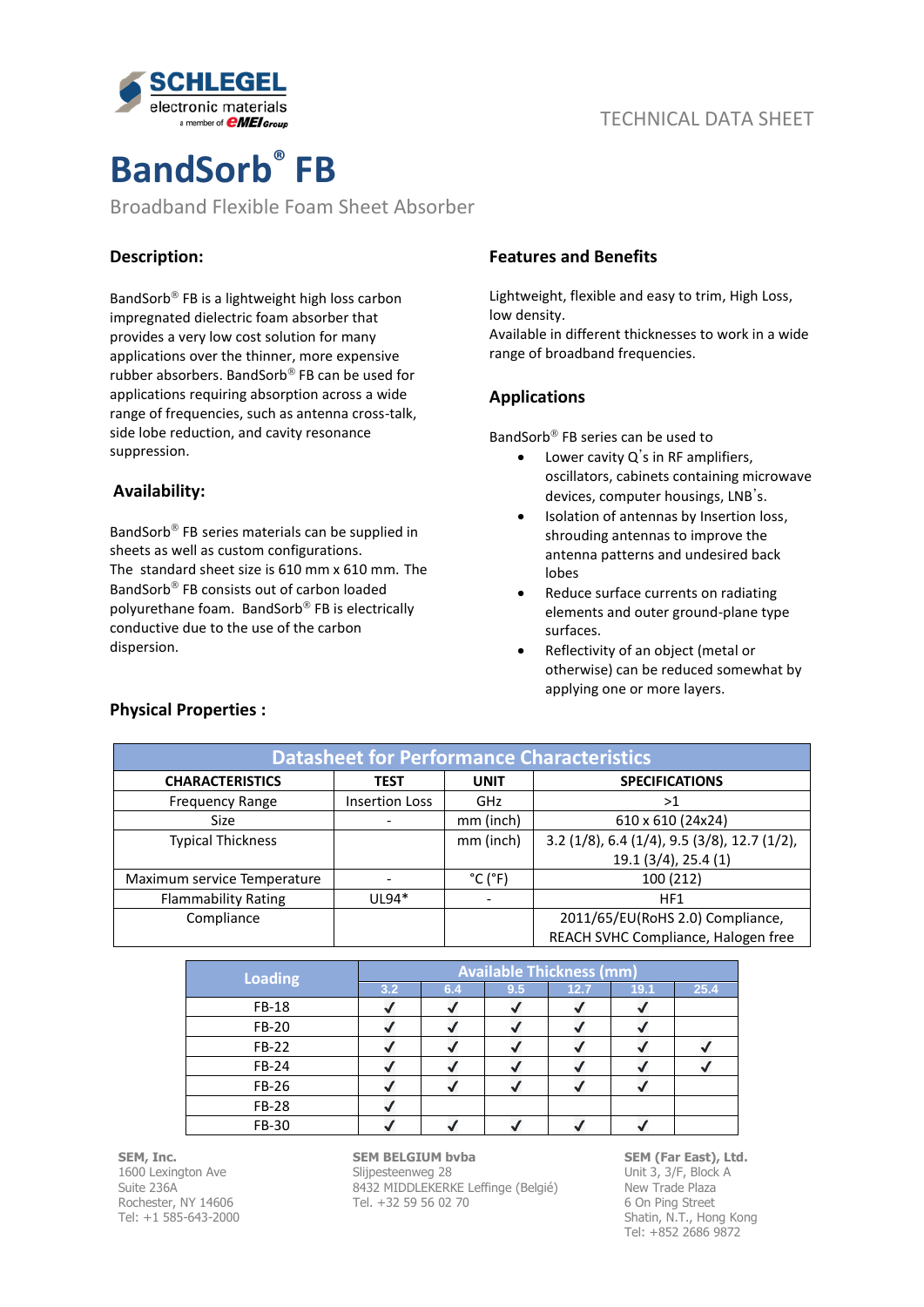

# **BandSorb® FB**

Broadband Flexible Foam Sheet Absorber

## **Description:**

BandSorb<sup>®</sup> FB is a lightweight high loss carbon impregnated dielectric foam absorber that provides a very low cost solution for many applications over the thinner, more expensive rubber absorbers. BandSorb® FB can be used for applications requiring absorption across a wide range of frequencies, such as antenna cross-talk, side lobe reduction, and cavity resonance suppression.

## **Availability:**

BandSorb<sup>®</sup> FB series materials can be supplied in sheets as well as custom configurations. The standard sheet size is 610 mm x 610 mm. The BandSorb<sup>®</sup> FB consists out of carbon loaded polyurethane foam. BandSorb<sup>®</sup> FB is electrically conductive due to the use of the carbon dispersion.

### **Features and Benefits**

Lightweight, flexible and easy to trim, High Loss, low density.

Available in different thicknesses to work in a wide range of broadband frequencies.

## **Applications**

BandSorb<sup>®</sup> FB series can be used to

- Lower cavity  $Q'$ s in RF amplifiers, oscillators, cabinets containing microwave devices, computer housings, LNB's.
- Isolation of antennas by Insertion loss, shrouding antennas to improve the antenna patterns and undesired back lobes
- Reduce surface currents on radiating elements and outer ground-plane type surfaces.
- Reflectivity of an object (metal or otherwise) can be reduced somewhat by applying one or more layers.

| <b>Datasheet for Performance Characteristics</b> |                       |                              |                                                |  |
|--------------------------------------------------|-----------------------|------------------------------|------------------------------------------------|--|
| <b>CHARACTERISTICS</b>                           | <b>TEST</b>           | <b>UNIT</b>                  | <b>SPECIFICATIONS</b>                          |  |
| <b>Frequency Range</b>                           | <b>Insertion Loss</b> | GHz                          | >1                                             |  |
| <b>Size</b>                                      |                       | mm (inch)                    | 610 x 610 (24x24)                              |  |
| <b>Typical Thickness</b>                         |                       | mm (inch)                    | $3.2$ (1/8), 6.4 (1/4), 9.5 (3/8), 12.7 (1/2), |  |
|                                                  |                       |                              | 19.1 (3/4), 25.4 (1)                           |  |
| Maximum service Temperature                      |                       | $^{\circ}$ C ( $^{\circ}$ F) | 100 (212)                                      |  |
| <b>Flammability Rating</b>                       | $UL94*$               |                              | HF1                                            |  |
| Compliance                                       |                       |                              | 2011/65/EU(RoHS 2.0) Compliance,               |  |
|                                                  |                       |                              | REACH SVHC Compliance, Halogen free            |  |

| <b>Loading</b> |     | <b>Available Thickness (mm)</b> |     |      |      |      |  |
|----------------|-----|---------------------------------|-----|------|------|------|--|
|                | 3.2 | 6.4                             | 9.5 | 12.7 | 19.1 | 25.4 |  |
| FB-18          |     |                                 |     |      |      |      |  |
| FB-20          |     |                                 |     |      |      |      |  |
| FB-22          |     |                                 |     |      |      |      |  |
| FB-24          |     |                                 |     |      |      |      |  |
| FB-26          |     |                                 |     |      |      |      |  |
| <b>FB-28</b>   |     |                                 |     |      |      |      |  |
| FB-30          |     |                                 |     |      |      |      |  |

**SEM, Inc.** 1600 Lexington Ave Suite 236A Rochester, NY 14606 Tel: +1 585-643-2000

#### **SEM BELGIUM bvba** Slijpesteenweg 28 8432 MIDDLEKERKE Leffinge (Belgié) Tel. +32 59 56 02 70

**SEM (Far East), Ltd.** Unit 3, 3/F, Block A New Trade Plaza 6 On Ping Street Shatin, N.T., Hong Kong Tel: +852 2686 9872

## **Physical Properties :**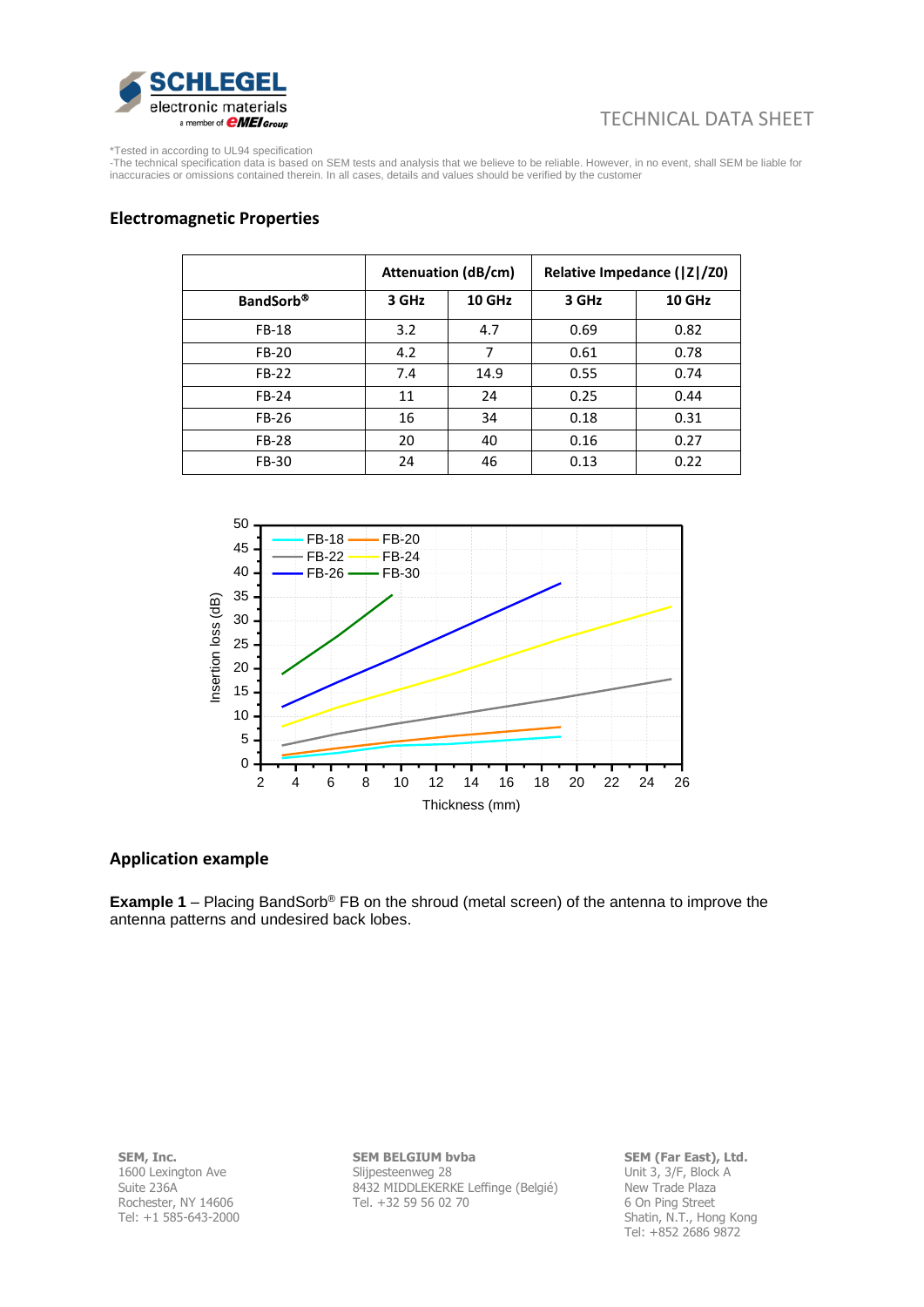

## TECHNICAL DATA SHEET

\*Tested in according to UL94 specification

-The technical specification data is based on SEM tests and analysis that we believe to be reliable. However, in no event, shall SEM be liable for inaccuracies or omissions contained therein. In all cases, details and values should be verified by the customer

#### **Electromagnetic Properties**

|                  |       | <b>Attenuation (dB/cm)</b> |       | Relative Impedance ( Z /Z0) |
|------------------|-------|----------------------------|-------|-----------------------------|
| <b>BandSorb®</b> | 3 GHz | 10 GHz                     | 3 GHz | 10 GHz                      |
| <b>FB-18</b>     | 3.2   | 4.7                        | 0.69  | 0.82                        |
| FB-20            | 4.2   | 7                          | 0.61  | 0.78                        |
| FB-22            | 7.4   | 14.9                       | 0.55  | 0.74                        |
| FB-24            | 11    | 24                         | 0.25  | 0.44                        |
| FB-26            | 16    | 34                         | 0.18  | 0.31                        |
| <b>FB-28</b>     | 20    | 40                         | 0.16  | 0.27                        |
| FB-30            | 24    | 46                         | 0.13  | 0.22                        |



#### **Application example**

**Example 1** – Placing BandSorb<sup>®</sup> FB on the shroud (metal screen) of the antenna to improve the antenna patterns and undesired back lobes.

**SEM, Inc.** 1600 Lexington Ave Suite 236A Rochester, NY 14606 Tel: +1 585-643-2000 **SEM BELGIUM bvba** Slijpesteenweg 28 8432 MIDDLEKERKE Leffinge (Belgié) Tel. +32 59 56 02 70

**SEM (Far East), Ltd.** Unit 3, 3/F, Block A New Trade Plaza 6 On Ping Street Shatin, N.T., Hong Kong Tel: +852 2686 9872